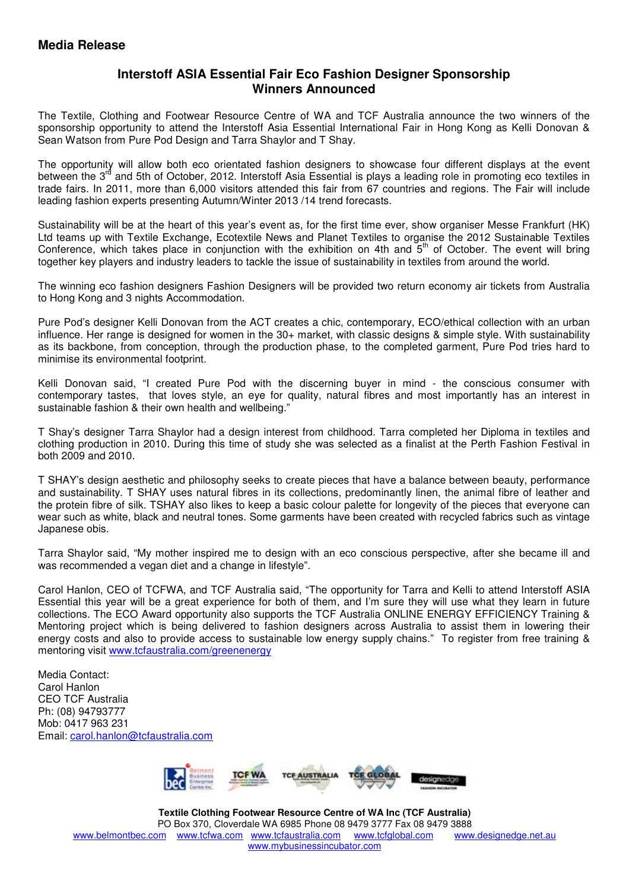## **Interstoff ASIA Essential Fair Eco Fashion Designer Sponsorship Winners Announced**

The Textile, Clothing and Footwear Resource Centre of WA and TCF Australia announce the two winners of the sponsorship opportunity to attend the Interstoff Asia Essential International Fair in Hong Kong as Kelli Donovan & Sean Watson from Pure Pod Design and Tarra Shaylor and T Shay.

The opportunity will allow both eco orientated fashion designers to showcase four different displays at the event between the 3<sup>rd</sup> and 5th of October, 2012. Interstoff Asia Essential is plays a leading role in promoting eco textiles in trade fairs. In 2011, more than 6,000 visitors attended this fair from 67 countries and regions. The Fair will include leading fashion experts presenting Autumn/Winter 2013 /14 trend forecasts.

Sustainability will be at the heart of this year's event as, for the first time ever, show organiser Messe Frankfurt (HK) Ltd teams up with Textile Exchange, Ecotextile News and Planet Textiles to organise the 2012 Sustainable Textiles Conference, which takes place in conjunction with the exhibition on 4th and  $5<sup>th</sup>$  of October. The event will bring together key players and industry leaders to tackle the issue of sustainability in textiles from around the world.

The winning eco fashion designers Fashion Designers will be provided two return economy air tickets from Australia to Hong Kong and 3 nights Accommodation.

Pure Pod's designer Kelli Donovan from the ACT creates a chic, contemporary, ECO/ethical collection with an urban influence. Her range is designed for women in the 30+ market, with classic designs & simple style. With sustainability as its backbone, from conception, through the production phase, to the completed garment, Pure Pod tries hard to minimise its environmental footprint.

Kelli Donovan said, "I created Pure Pod with the discerning buyer in mind - the conscious consumer with contemporary tastes, that loves style, an eye for quality, natural fibres and most importantly has an interest in sustainable fashion & their own health and wellbeing."

T Shay's designer Tarra Shaylor had a design interest from childhood. Tarra completed her Diploma in textiles and clothing production in 2010. During this time of study she was selected as a finalist at the Perth Fashion Festival in both 2009 and 2010.

T SHAY's design aesthetic and philosophy seeks to create pieces that have a balance between beauty, performance and sustainability. T SHAY uses natural fibres in its collections, predominantly linen, the animal fibre of leather and the protein fibre of silk. TSHAY also likes to keep a basic colour palette for longevity of the pieces that everyone can wear such as white, black and neutral tones. Some garments have been created with recycled fabrics such as vintage Japanese obis.

Tarra Shaylor said, "My mother inspired me to design with an eco conscious perspective, after she became ill and was recommended a vegan diet and a change in lifestyle".

Carol Hanlon, CEO of TCFWA, and TCF Australia said, "The opportunity for Tarra and Kelli to attend Interstoff ASIA Essential this year will be a great experience for both of them, and I'm sure they will use what they learn in future collections. The ECO Award opportunity also supports the TCF Australia ONLINE ENERGY EFFICIENCY Training & Mentoring project which is being delivered to fashion designers across Australia to assist them in lowering their energy costs and also to provide access to sustainable low energy supply chains." To register from free training & mentoring visit www.tcfaustralia.com/greenenergy

Media Contact: Carol Hanlon CEO TCF Australia Ph: (08) 94793777 Mob: 0417 963 231 Email: carol.hanlon@tcfaustralia.com